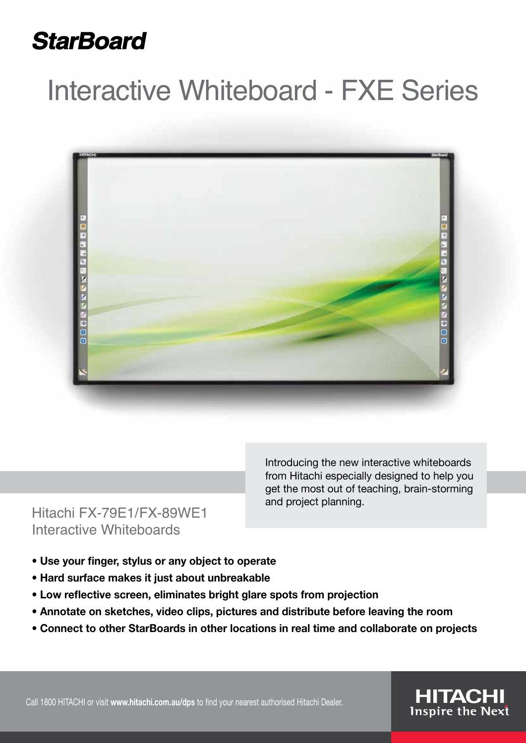## **StarBoard**

# Interactive Whiteboard - FXE Series





Introducing the new interactive whiteboards from Hitachi especially designed to help you get the most out of teaching, brain-storming and project planning.

- **Use your finger, stylus or any object to operate**
- **Hard surface makes it just about unbreakable**
- **Low reflective screen, eliminates bright glare spots from projection**
- **Annotate on sketches, video clips, pictures and distribute before leaving the room**
- **Connect to other StarBoards in other locations in real time and collaborate on projects**